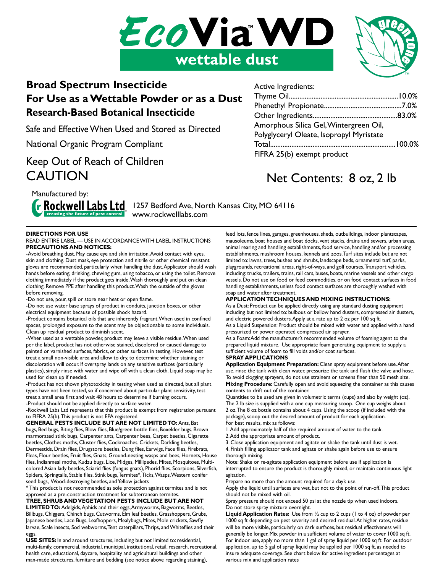



### **Broad Spectrum Insecticide For Use as a Wettable Powder or as a Dust Research-Based Botanical Insecticide**

Safe and Effective When Used and Stored as Directed

National Organic Program Compliant

## Keep Out of Reach of Children **CAUTION**

Active Ingredients:

| Amorphous Silica Gel, Wintergreen Oil,   |  |
|------------------------------------------|--|
| Polyglyceryl Oleate, Isopropyl Myristate |  |
|                                          |  |
| FIFRA 25(b) exempt product               |  |

# Net Contents: 8 oz, 2 lb

Manufactured by:

**F Rockwell Labs Ltd** 1257 Bedford Ave, North Kansas City, MO 64116 www.rockwelllabs.com

### **DIRECTIONS FOR USE**

#### READ ENTIRE LABEL — USE IN ACCORDANCE WITH LABEL INSTRUCTIONS **PRECAUTIONS AND NOTICES:**

-Avoid breathing dust. May cause eye and skin irritation. Avoid contact with eyes, skin and clothing. Dust mask, eye protection and nitrile or other chemical resistant gloves are recommended, particularly when handling the dust. Applicator should wash hands before eating, drinking, chewing gum, using tobacco, or using the toilet. Remove clothing immediately if the product gets inside. Wash thoroughly and put on clean clothing. Remove PPE after handling this product. Wash the outside of the gloves before removing.

-Do not use, pour, spill or store near heat or open flame.

-Do not use water base sprays of product in conduits, junction boxes, or other electrical equipment because of possible shock hazard.

-Product contains botanical oils that are inherently fragrant. When used in confined spaces, prolonged exposure to the scent may be objectionable to some individuals. Clean up residual product to diminish scent.

-When used as a wettable powder, product may leave a visible residue. When used per the label, product has not otherwise stained, discolored or caused damage to painted or varnished surfaces, fabrics, or other surfaces in testing. However, test treat a small non-visible area and allow to dry, to determine whether staining or discoloration will occur. If overspray lands on any sensitive surfaces (particularly plastics), simply rinse with water and wipe off with a clean cloth. Liquid soap may be used for clean up if needed.

-Product has not shown phytotoxicity in testing when used as directed, but all plant types have not been tested, so if concerned about particular plant sensitivity, test treat a small area first and wait 48 hours to determine if burning occurs. -Product should not be applied directly to surface water.

-Rockwell Labs Ltd represents that this product is exempt from registration pursuant to FIFRA 25(b). This product is not EPA registered.

**GENERAL PESTS INCLUDE BUT ARE NOT LIMITED TO:** Ants, Bat bugs, Bed bugs, Biting flies, Blow flies, Blue/green bottle flies, Boxelder bugs, Brown marmorated stink bugs, Carpenter ants, Carpenter bees, Carpet beetles, Cigarette beetles, Clothes moths, Cluster flies, Cockroaches, Crickets, Darkling beetles, Dermestids, Drain flies, Drugstore beetles, Dung flies, Earwigs, Face flies, Firebrats, Fleas, Flour beetles, Fruit flies, Gnats, Ground-nesting wasps and bees, Hornets, House flies, Indianmeal moths, Kudzu bugs, Lice, Midges, Millipedes, Mites, Mosquitoes, Multicolored Asian lady beetles, Sciarid flies (fungus gnats), Phorid flies, Scorpions, Silverfish, Spiders, Springtails, Stable flies, Stink bugs, Termites\*, Ticks, Wasps, Western conifer seed bugs, Wood-destroying beetles, and Yellow jackets

\* This product is not recommended as sole protection against termites and is not approved as a pre-construction treatment for subterranean termites.

**TREE, SHRUB AND VEGETATION PESTS INCLUDE BUT ARE NOT LIMITED TO:** Adelgids, Aphids and their eggs, Armyworms, Bagworms, Beetles, Billbugs, Chiggers, Chinch bugs, Cutworms, Elm leaf beetles, Grasshoppers, Grubs, Japanese beetles, Lace Bugs, Leafhoppers, Mealybugs, Mites, Mole crickets, Sawfly larvae, Scale insects, Sod webworms, Tent caterpillars, Thrips, and Whiteflies and their eggs.

**USE SITES:** In and around structures, including but not limited to: residential, multi-family, commercial, industrial, municipal, institutional, retail, research, recreational, health care, educational, daycare, hospitality and agricultural buildings and other man-made structures, furniture and bedding (see notice above regarding staining),

feed lots, fence lines, garages, greenhouses, sheds, outbuildings, indoor plantscapes, mausoleums, boat houses and boat docks, vent stacks, drains and sewers, urban areas, animal rearing and handling establishments, food service, handling and/or processing establishments, mushroom houses, kennels and zoos. Turf sites include but are not limited to: lawns, trees, bushes and shrubs, landscape beds, ornamental turf, parks, playgrounds, recreational areas, right-of-ways, and golf courses. Transport vehicles, including: trucks, trailers, trains, rail cars, buses, boats, marine vessels and other cargo vessels. Do not use on food or feed commodities, or on food contact surfaces in food handling establishments, unless food contact surfaces are thoroughly washed with soap and water after treatment.

### **APPLICATION TECHNIQUES AND MIXING INSTRUCTIONS:**

As a Dust: Product can be applied directly using any standard dusting equipment including but not limited to: bulbous or bellow hand dusters, compressed air dusters, and electric powered dusters. Apply at a rate up to 2 oz per 100 sq ft.

As a Liquid Suspension: Product should be mixed with water and applied with a hand pressurized or power operated compressed air sprayer.

As a Foam: Add the manufacturer's recommended volume of foaming agent to the prepared liquid mixture. Use appropriate foam generating equipment to supply a sufficient volume of foam to fill voids and/or coat surfaces.

#### **SPRAY APPLICATIONS**

**Application Equipment Preparation:** Clean spray equipment before use. After use, rinse the tank with clean water, pressurize the tank and flush the valve and hose. To avoid clogging sprayers, do not use strainers or screens finer than 50 mesh size. **Mixing Procedure:** Carefully open and avoid squeezing the container as this causes contents to drift out of the container.

Quantities to be used are given in volumetric terms (cups) and also by weight (oz). The 2 lb size is supplied with a one cup measuring scoop. One cup weighs about 2 oz. The 8 oz bottle contains about 4 cups. Using the scoop (if included with the package), scoop out the desired amount of product for each application. For best results, mix as follows:

1. Add approximately half of the required amount of water to the tank. 2. Add the appropriate amount of product.

3. Close application equipment and agitate or shake the tank until dust is wet. 4. Finish filling applicator tank and agitate or shake again before use to ensure thorough mixing.

Note: Shake or re-agitate application equipment before use if application is interrupted to ensure the product is thoroughly mixed, or maintain continuous light agitation.

Prepare no more than the amount required for a day's use.

Apply the liquid until surfaces are wet, but not to the point of run-off. This product should not be mixed with oil.

Spray pressure should not exceed 50 psi at the nozzle tip when used indoors. Do not store spray mixture overnight.

**Liquid Application Rates:** Use from ½ cup to 2 cups (1 to 4 oz) of powder per 1000 sq ft depending on pest severity and desired residual. At higher rates, residue will be more visible, particularly on dark surfaces, but residual effectiveness will generally be longer. Mix powder in a sufficient volume of water to cover 1000 sq ft. For indoor use, apply no more than 1 gal of spray liquid per 1000 sq ft. For outdoor application, up to 5 gal of spray liquid may be applied per 1000 sq ft, as needed to insure adequate coverage. See chart below for active ingredient percentages at various mix and application rates